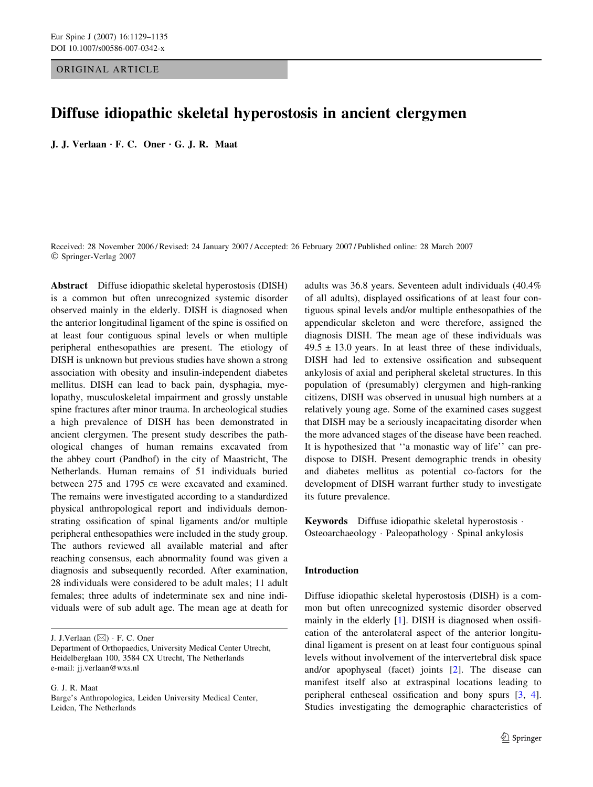# ORIGINAL ARTICLE

# Diffuse idiopathic skeletal hyperostosis in ancient clergymen

J. J. Verlaan  $\cdot$  F. C. Oner  $\cdot$  G. J. R. Maat

Received: 28 November 2006 / Revised: 24 January 2007 / Accepted: 26 February 2007 / Published online: 28 March 2007 Springer-Verlag 2007

Abstract Diffuse idiopathic skeletal hyperostosis (DISH) is a common but often unrecognized systemic disorder observed mainly in the elderly. DISH is diagnosed when the anterior longitudinal ligament of the spine is ossified on at least four contiguous spinal levels or when multiple peripheral enthesopathies are present. The etiology of DISH is unknown but previous studies have shown a strong association with obesity and insulin-independent diabetes mellitus. DISH can lead to back pain, dysphagia, myelopathy, musculoskeletal impairment and grossly unstable spine fractures after minor trauma. In archeological studies a high prevalence of DISH has been demonstrated in ancient clergymen. The present study describes the pathological changes of human remains excavated from the abbey court (Pandhof) in the city of Maastricht, The Netherlands. Human remains of 51 individuals buried between 275 and 1795 CE were excavated and examined. The remains were investigated according to a standardized physical anthropological report and individuals demonstrating ossification of spinal ligaments and/or multiple peripheral enthesopathies were included in the study group. The authors reviewed all available material and after reaching consensus, each abnormality found was given a diagnosis and subsequently recorded. After examination, 28 individuals were considered to be adult males; 11 adult females; three adults of indeterminate sex and nine individuals were of sub adult age. The mean age at death for

J. J.Verlaan  $(\boxtimes)$  · F. C. Oner

G. J. R. Maat

adults was 36.8 years. Seventeen adult individuals (40.4% of all adults), displayed ossifications of at least four contiguous spinal levels and/or multiple enthesopathies of the appendicular skeleton and were therefore, assigned the diagnosis DISH. The mean age of these individuals was  $49.5 \pm 13.0$  years. In at least three of these individuals, DISH had led to extensive ossification and subsequent ankylosis of axial and peripheral skeletal structures. In this population of (presumably) clergymen and high-ranking citizens, DISH was observed in unusual high numbers at a relatively young age. Some of the examined cases suggest that DISH may be a seriously incapacitating disorder when the more advanced stages of the disease have been reached. It is hypothesized that ''a monastic way of life'' can predispose to DISH. Present demographic trends in obesity and diabetes mellitus as potential co-factors for the development of DISH warrant further study to investigate its future prevalence.

Keywords Diffuse idiopathic skeletal hyperostosis · Osteoarchaeology · Paleopathology · Spinal ankylosis

# Introduction

Diffuse idiopathic skeletal hyperostosis (DISH) is a common but often unrecognized systemic disorder observed mainly in the elderly [\[1](#page-5-0)]. DISH is diagnosed when ossification of the anterolateral aspect of the anterior longitudinal ligament is present on at least four contiguous spinal levels without involvement of the intervertebral disk space and/or apophyseal (facet) joints [\[2](#page-5-0)]. The disease can manifest itself also at extraspinal locations leading to peripheral entheseal ossification and bony spurs [[3,](#page-5-0) [4](#page-5-0)]. Studies investigating the demographic characteristics of

Department of Orthopaedics, University Medical Center Utrecht, Heidelberglaan 100, 3584 CX Utrecht, The Netherlands e-mail: jj.verlaan@wxs.nl

Barge's Anthropologica, Leiden University Medical Center, Leiden, The Netherlands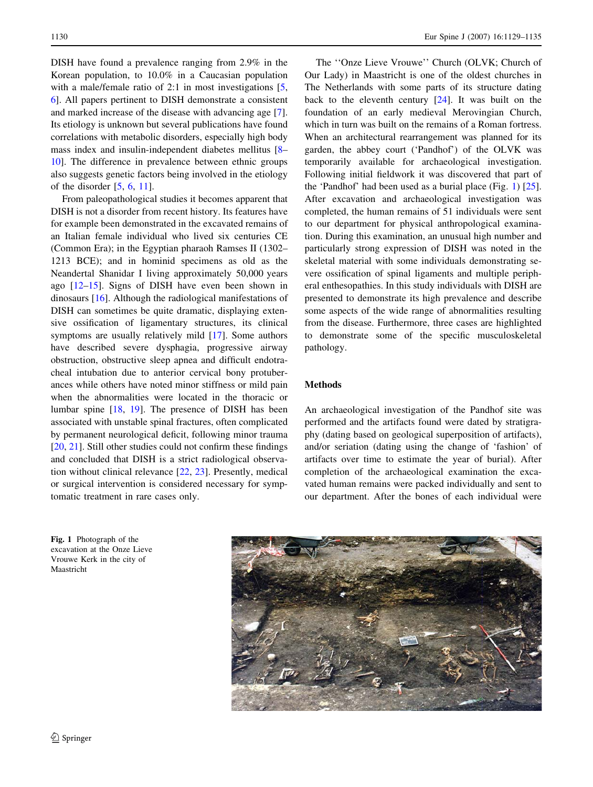DISH have found a prevalence ranging from 2.9% in the Korean population, to 10.0% in a Caucasian population with a male/female ratio of 2:1 in most investigations [[5,](#page-5-0) [6](#page-5-0)]. All papers pertinent to DISH demonstrate a consistent and marked increase of the disease with advancing age [\[7](#page-5-0)]. Its etiology is unknown but several publications have found correlations with metabolic disorders, especially high body mass index and insulin-independent diabetes mellitus [\[8](#page-5-0)– [10](#page-6-0)]. The difference in prevalence between ethnic groups also suggests genetic factors being involved in the etiology of the disorder [[5,](#page-5-0) [6](#page-5-0), [11](#page-6-0)].

From paleopathological studies it becomes apparent that DISH is not a disorder from recent history. Its features have for example been demonstrated in the excavated remains of an Italian female individual who lived six centuries CE (Common Era); in the Egyptian pharaoh Ramses II (1302– 1213 BCE); and in hominid specimens as old as the Neandertal Shanidar I living approximately 50,000 years ago [[12–15\]](#page-6-0). Signs of DISH have even been shown in dinosaurs [\[16](#page-6-0)]. Although the radiological manifestations of DISH can sometimes be quite dramatic, displaying extensive ossification of ligamentary structures, its clinical symptoms are usually relatively mild [\[17](#page-6-0)]. Some authors have described severe dysphagia, progressive airway obstruction, obstructive sleep apnea and difficult endotracheal intubation due to anterior cervical bony protuberances while others have noted minor stiffness or mild pain when the abnormalities were located in the thoracic or lumbar spine [\[18](#page-6-0), [19\]](#page-6-0). The presence of DISH has been associated with unstable spinal fractures, often complicated by permanent neurological deficit, following minor trauma [\[20](#page-6-0), [21](#page-6-0)]. Still other studies could not confirm these findings and concluded that DISH is a strict radiological observation without clinical relevance [\[22](#page-6-0), [23\]](#page-6-0). Presently, medical or surgical intervention is considered necessary for symptomatic treatment in rare cases only.

Fig. 1 Photograph of the excavation at the Onze Lieve Vrouwe Kerk in the city of Maastricht

The ''Onze Lieve Vrouwe'' Church (OLVK; Church of Our Lady) in Maastricht is one of the oldest churches in The Netherlands with some parts of its structure dating back to the eleventh century  $[24]$  $[24]$ . It was built on the foundation of an early medieval Merovingian Church, which in turn was built on the remains of a Roman fortress. When an architectural rearrangement was planned for its garden, the abbey court ('Pandhof') of the OLVK was temporarily available for archaeological investigation. Following initial fieldwork it was discovered that part of the 'Pandhof' had been used as a burial place (Fig. 1) [\[25](#page-6-0)]. After excavation and archaeological investigation was completed, the human remains of 51 individuals were sent to our department for physical anthropological examination. During this examination, an unusual high number and particularly strong expression of DISH was noted in the skeletal material with some individuals demonstrating severe ossification of spinal ligaments and multiple peripheral enthesopathies. In this study individuals with DISH are presented to demonstrate its high prevalence and describe some aspects of the wide range of abnormalities resulting from the disease. Furthermore, three cases are highlighted to demonstrate some of the specific musculoskeletal pathology.

# Methods

An archaeological investigation of the Pandhof site was performed and the artifacts found were dated by stratigraphy (dating based on geological superposition of artifacts), and/or seriation (dating using the change of 'fashion' of artifacts over time to estimate the year of burial). After completion of the archaeological examination the excavated human remains were packed individually and sent to our department. After the bones of each individual were

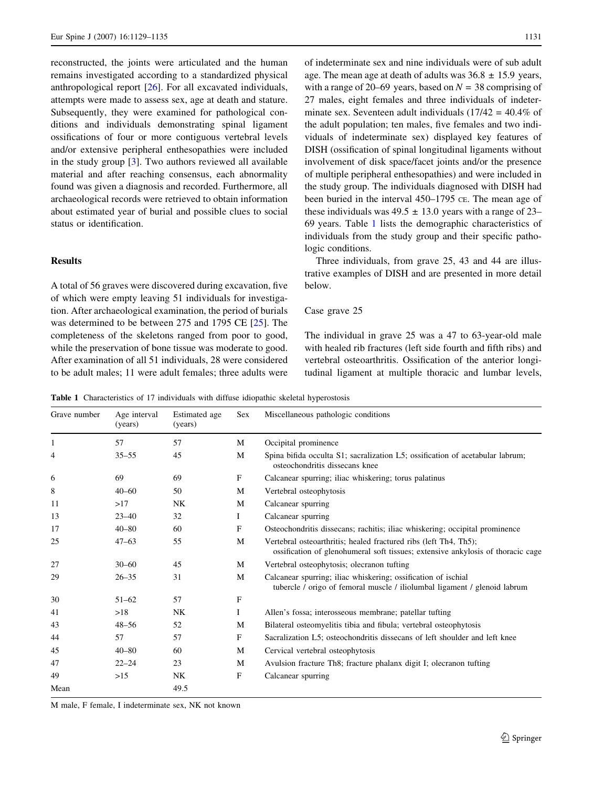reconstructed, the joints were articulated and the human remains investigated according to a standardized physical anthropological report [\[26](#page-6-0)]. For all excavated individuals, attempts were made to assess sex, age at death and stature. Subsequently, they were examined for pathological conditions and individuals demonstrating spinal ligament ossifications of four or more contiguous vertebral levels and/or extensive peripheral enthesopathies were included in the study group  $[3]$  $[3]$ . Two authors reviewed all available material and after reaching consensus, each abnormality found was given a diagnosis and recorded. Furthermore, all archaeological records were retrieved to obtain information about estimated year of burial and possible clues to social status or identification.

# Results

A total of 56 graves were discovered during excavation, five of which were empty leaving 51 individuals for investigation. After archaeological examination, the period of burials was determined to be between 275 and 1795 CE [[25\]](#page-6-0). The completeness of the skeletons ranged from poor to good, while the preservation of bone tissue was moderate to good. After examination of all 51 individuals, 28 were considered to be adult males; 11 were adult females; three adults were

of indeterminate sex and nine individuals were of sub adult age. The mean age at death of adults was  $36.8 \pm 15.9$  years, with a range of 20–69 years, based on  $N = 38$  comprising of 27 males, eight females and three individuals of indeterminate sex. Seventeen adult individuals  $(17/42 = 40.4\%$  of the adult population; ten males, five females and two individuals of indeterminate sex) displayed key features of DISH (ossification of spinal longitudinal ligaments without involvement of disk space/facet joints and/or the presence of multiple peripheral enthesopathies) and were included in the study group. The individuals diagnosed with DISH had been buried in the interval 450–1795 CE. The mean age of these individuals was  $49.5 \pm 13.0$  years with a range of 23– 69 years. Table 1 lists the demographic characteristics of individuals from the study group and their specific pathologic conditions.

Three individuals, from grave 25, 43 and 44 are illustrative examples of DISH and are presented in more detail below.

#### Case grave 25

The individual in grave 25 was a 47 to 63-year-old male with healed rib fractures (left side fourth and fifth ribs) and vertebral osteoarthritis. Ossification of the anterior longitudinal ligament at multiple thoracic and lumbar levels,

Table 1 Characteristics of 17 individuals with diffuse idiopathic skeletal hyperostosis

| Grave number | Age interval<br>(years) | Estimated age<br>(years) | <b>Sex</b> | Miscellaneous pathologic conditions                                                                                                                 |
|--------------|-------------------------|--------------------------|------------|-----------------------------------------------------------------------------------------------------------------------------------------------------|
| 1            | 57                      | 57                       | M          | Occipital prominence                                                                                                                                |
| 4            | $35 - 55$               | 45                       | M          | Spina bifida occulta S1; sacralization L5; ossification of acetabular labrum;<br>osteochondritis dissecans knee                                     |
| 6            | 69                      | 69                       | F          | Calcanear spurring; iliac whiskering; torus palatinus                                                                                               |
| 8            | $40 - 60$               | 50                       | M          | Vertebral osteophytosis                                                                                                                             |
| 11           | >17                     | NK                       | M          | Calcanear spurring                                                                                                                                  |
| 13           | $23 - 40$               | 32                       | T          | Calcanear spurring                                                                                                                                  |
| 17           | $40 - 80$               | 60                       | F          | Osteochondritis dissecans; rachitis; iliac whiskering; occipital prominence                                                                         |
| 25           | $47 - 63$               | 55                       | M          | Vertebral osteoarthritis; healed fractured ribs (left Th4, Th5);<br>ossification of glenohumeral soft tissues; extensive ankylosis of thoracic cage |
| 27           | $30 - 60$               | 45                       | M          | Vertebral osteophytosis; olecranon tufting                                                                                                          |
| 29           | $26 - 35$               | 31                       | M          | Calcanear spurring; iliac whiskering; ossification of ischial<br>tubercle / origo of femoral muscle / iliolumbal ligament / glenoid labrum          |
| 30           | $51 - 62$               | 57                       | F          |                                                                                                                                                     |
| 41           | >18                     | NK                       | Ι          | Allen's fossa; interosseous membrane; patellar tufting                                                                                              |
| 43           | $48 - 56$               | 52                       | M          | Bilateral osteomyelitis tibia and fibula; vertebral osteophytosis                                                                                   |
| 44           | 57                      | 57                       | F          | Sacralization L5; osteochondritis dissecans of left shoulder and left knee                                                                          |
| 45           | $40 - 80$               | 60                       | M          | Cervical vertebral osteophytosis                                                                                                                    |
| 47           | $22 - 24$               | 23                       | M          | Avulsion fracture Th8; fracture phalanx digit I; olecranon tufting                                                                                  |
| 49           | >15                     | <b>NK</b>                | F          | Calcanear spurring                                                                                                                                  |
| Mean         |                         | 49.5                     |            |                                                                                                                                                     |

M male, F female, I indeterminate sex, NK not known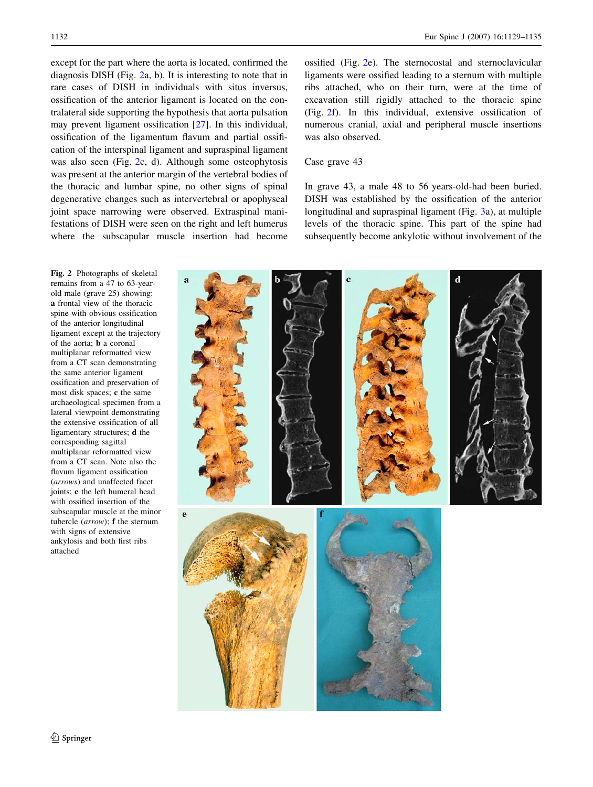except for the part where the aorta is located, confirmed the diagnosis DISH (Fig. 2a, b). It is interesting to note that in rare cases of DISH in individuals with situs inversus, ossification of the anterior ligament is located on the contralateral side supporting the hypothesis that aorta pulsation may prevent ligament ossification [[27\]](#page-6-0). In this individual, ossification of the ligamentum flavum and partial ossification of the interspinal ligament and supraspinal ligament was also seen (Fig. 2c, d). Although some osteophytosis was present at the anterior margin of the vertebral bodies of the thoracic and lumbar spine, no other signs of spinal degenerative changes such as intervertebral or apophyseal joint space narrowing were observed. Extraspinal manifestations of DISH were seen on the right and left humerus where the subscapular muscle insertion had become ossified (Fig. 2e). The sternocostal and sternoclavicular ligaments were ossified leading to a sternum with multiple ribs attached, who on their turn, were at the time of excavation still rigidly attached to the thoracic spine (Fig. 2f). In this individual, extensive ossification of numerous cranial, axial and peripheral muscle insertions was also observed.

# Case grave 43

In grave 43, a male 48 to 56 years-old-had been buried. DISH was established by the ossification of the anterior longitudinal and supraspinal ligament (Fig. [3a](#page-4-0)), at multiple levels of the thoracic spine. This part of the spine had subsequently become ankylotic without involvement of the





remains from a 47 to 63-yearold male (grave 25) showing: a frontal view of the thoracic spine with obvious ossification of the anterior longitudinal ligament except at the trajectory of the aorta; b a coronal multiplanar reformatted view from a CT scan demonstrating the same anterior ligament ossification and preservation of most disk spaces; c the same archaeological specimen from a lateral viewpoint demonstrating the extensive ossification of all ligamentary structures; d the corresponding sagittal multiplanar reformatted view from a CT scan. Note also the flavum ligament ossification (arrows) and unaffected facet joints; e the left humeral head with ossified insertion of the subscapular muscle at the minor tubercle (arrow); f the sternum with signs of extensive ankylosis and both first ribs attached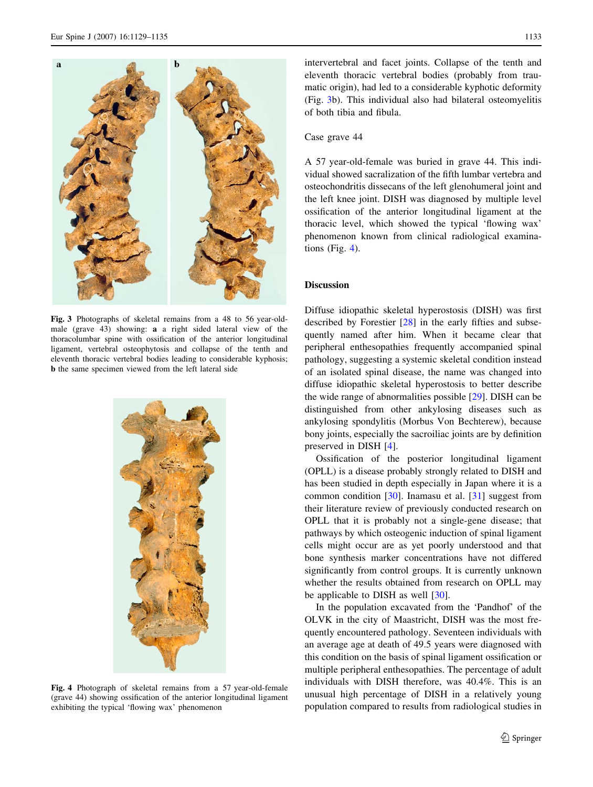<span id="page-4-0"></span>

Fig. 3 Photographs of skeletal remains from a 48 to 56 year-oldmale (grave 43) showing: a a right sided lateral view of the thoracolumbar spine with ossification of the anterior longitudinal ligament, vertebral osteophytosis and collapse of the tenth and eleventh thoracic vertebral bodies leading to considerable kyphosis; b the same specimen viewed from the left lateral side



Fig. 4 Photograph of skeletal remains from a 57 year-old-female (grave 44) showing ossification of the anterior longitudinal ligament exhibiting the typical 'flowing wax' phenomenon

intervertebral and facet joints. Collapse of the tenth and eleventh thoracic vertebral bodies (probably from traumatic origin), had led to a considerable kyphotic deformity (Fig. 3b). This individual also had bilateral osteomyelitis of both tibia and fibula.

### Case grave 44

A 57 year-old-female was buried in grave 44. This individual showed sacralization of the fifth lumbar vertebra and osteochondritis dissecans of the left glenohumeral joint and the left knee joint. DISH was diagnosed by multiple level ossification of the anterior longitudinal ligament at the thoracic level, which showed the typical 'flowing wax' phenomenon known from clinical radiological examinations (Fig. 4).

#### **Discussion**

Diffuse idiopathic skeletal hyperostosis (DISH) was first described by Forestier [[28\]](#page-6-0) in the early fifties and subsequently named after him. When it became clear that peripheral enthesopathies frequently accompanied spinal pathology, suggesting a systemic skeletal condition instead of an isolated spinal disease, the name was changed into diffuse idiopathic skeletal hyperostosis to better describe the wide range of abnormalities possible [\[29](#page-6-0)]. DISH can be distinguished from other ankylosing diseases such as ankylosing spondylitis (Morbus Von Bechterew), because bony joints, especially the sacroiliac joints are by definition preserved in DISH [\[4](#page-5-0)].

Ossification of the posterior longitudinal ligament (OPLL) is a disease probably strongly related to DISH and has been studied in depth especially in Japan where it is a common condition [[30\]](#page-6-0). Inamasu et al. [\[31](#page-6-0)] suggest from their literature review of previously conducted research on OPLL that it is probably not a single-gene disease; that pathways by which osteogenic induction of spinal ligament cells might occur are as yet poorly understood and that bone synthesis marker concentrations have not differed significantly from control groups. It is currently unknown whether the results obtained from research on OPLL may be applicable to DISH as well [[30\]](#page-6-0).

In the population excavated from the 'Pandhof' of the OLVK in the city of Maastricht, DISH was the most frequently encountered pathology. Seventeen individuals with an average age at death of 49.5 years were diagnosed with this condition on the basis of spinal ligament ossification or multiple peripheral enthesopathies. The percentage of adult individuals with DISH therefore, was 40.4%. This is an unusual high percentage of DISH in a relatively young population compared to results from radiological studies in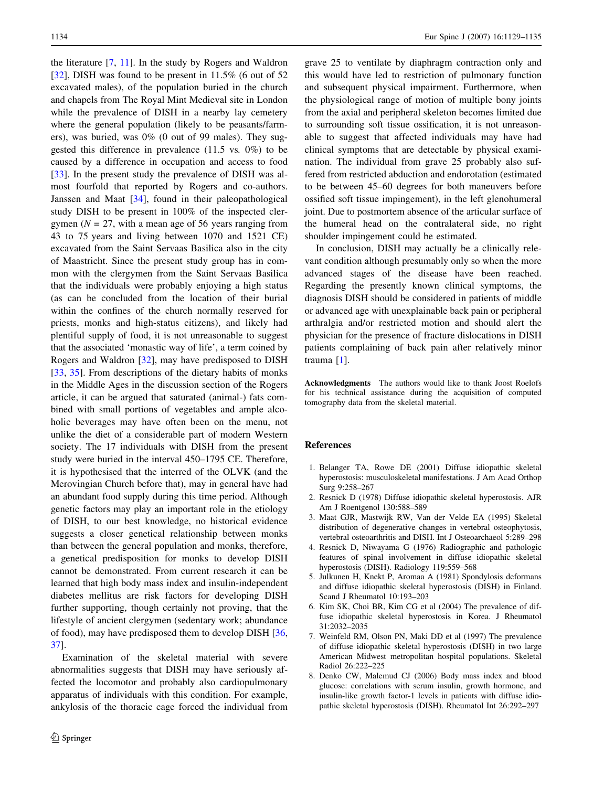<span id="page-5-0"></span>the literature [7, [11](#page-6-0)]. In the study by Rogers and Waldron [\[32](#page-6-0)], DISH was found to be present in 11.5% (6 out of 52) excavated males), of the population buried in the church and chapels from The Royal Mint Medieval site in London while the prevalence of DISH in a nearby lay cemetery where the general population (likely to be peasants/farmers), was buried, was 0% (0 out of 99 males). They suggested this difference in prevalence (11.5 vs. 0%) to be caused by a difference in occupation and access to food [\[33](#page-6-0)]. In the present study the prevalence of DISH was almost fourfold that reported by Rogers and co-authors. Janssen and Maat [[34\]](#page-6-0), found in their paleopathological study DISH to be present in 100% of the inspected clergymen ( $N = 27$ , with a mean age of 56 years ranging from 43 to 75 years and living between 1070 and 1521 CE) excavated from the Saint Servaas Basilica also in the city of Maastricht. Since the present study group has in common with the clergymen from the Saint Servaas Basilica that the individuals were probably enjoying a high status (as can be concluded from the location of their burial within the confines of the church normally reserved for priests, monks and high-status citizens), and likely had plentiful supply of food, it is not unreasonable to suggest that the associated 'monastic way of life', a term coined by Rogers and Waldron [[32\]](#page-6-0), may have predisposed to DISH [\[33](#page-6-0), [35](#page-6-0)]. From descriptions of the dietary habits of monks in the Middle Ages in the discussion section of the Rogers article, it can be argued that saturated (animal-) fats combined with small portions of vegetables and ample alcoholic beverages may have often been on the menu, not unlike the diet of a considerable part of modern Western society. The 17 individuals with DISH from the present study were buried in the interval 450–1795 CE. Therefore, it is hypothesised that the interred of the OLVK (and the Merovingian Church before that), may in general have had an abundant food supply during this time period. Although genetic factors may play an important role in the etiology of DISH, to our best knowledge, no historical evidence suggests a closer genetical relationship between monks than between the general population and monks, therefore, a genetical predisposition for monks to develop DISH cannot be demonstrated. From current research it can be learned that high body mass index and insulin-independent diabetes mellitus are risk factors for developing DISH further supporting, though certainly not proving, that the lifestyle of ancient clergymen (sedentary work; abundance of food), may have predisposed them to develop DISH [[36,](#page-6-0) [37\]](#page-6-0).

Examination of the skeletal material with severe abnormalities suggests that DISH may have seriously affected the locomotor and probably also cardiopulmonary apparatus of individuals with this condition. For example, ankylosis of the thoracic cage forced the individual from grave 25 to ventilate by diaphragm contraction only and this would have led to restriction of pulmonary function and subsequent physical impairment. Furthermore, when the physiological range of motion of multiple bony joints from the axial and peripheral skeleton becomes limited due to surrounding soft tissue ossification, it is not unreasonable to suggest that affected individuals may have had clinical symptoms that are detectable by physical examination. The individual from grave 25 probably also suffered from restricted abduction and endorotation (estimated to be between 45–60 degrees for both maneuvers before ossified soft tissue impingement), in the left glenohumeral joint. Due to postmortem absence of the articular surface of the humeral head on the contralateral side, no right shoulder impingement could be estimated.

In conclusion, DISH may actually be a clinically relevant condition although presumably only so when the more advanced stages of the disease have been reached. Regarding the presently known clinical symptoms, the diagnosis DISH should be considered in patients of middle or advanced age with unexplainable back pain or peripheral arthralgia and/or restricted motion and should alert the physician for the presence of fracture dislocations in DISH patients complaining of back pain after relatively minor trauma [1].

Acknowledgments The authors would like to thank Joost Roelofs for his technical assistance during the acquisition of computed tomography data from the skeletal material.

#### References

- 1. Belanger TA, Rowe DE (2001) Diffuse idiopathic skeletal hyperostosis: musculoskeletal manifestations. J Am Acad Orthop Surg 9:258–267
- 2. Resnick D (1978) Diffuse idiopathic skeletal hyperostosis. AJR Am J Roentgenol 130:588–589
- 3. Maat GJR, Mastwijk RW, Van der Velde EA (1995) Skeletal distribution of degenerative changes in vertebral osteophytosis, vertebral osteoarthritis and DISH. Int J Osteoarchaeol 5:289–298
- 4. Resnick D, Niwayama G (1976) Radiographic and pathologic features of spinal involvement in diffuse idiopathic skeletal hyperostosis (DISH). Radiology 119:559–568
- 5. Julkunen H, Knekt P, Aromaa A (1981) Spondylosis deformans and diffuse idiopathic skeletal hyperostosis (DISH) in Finland. Scand J Rheumatol 10:193–203
- 6. Kim SK, Choi BR, Kim CG et al (2004) The prevalence of diffuse idiopathic skeletal hyperostosis in Korea. J Rheumatol 31:2032–2035
- 7. Weinfeld RM, Olson PN, Maki DD et al (1997) The prevalence of diffuse idiopathic skeletal hyperostosis (DISH) in two large American Midwest metropolitan hospital populations. Skeletal Radiol 26:222–225
- 8. Denko CW, Malemud CJ (2006) Body mass index and blood glucose: correlations with serum insulin, growth hormone, and insulin-like growth factor-1 levels in patients with diffuse idiopathic skeletal hyperostosis (DISH). Rheumatol Int 26:292–297